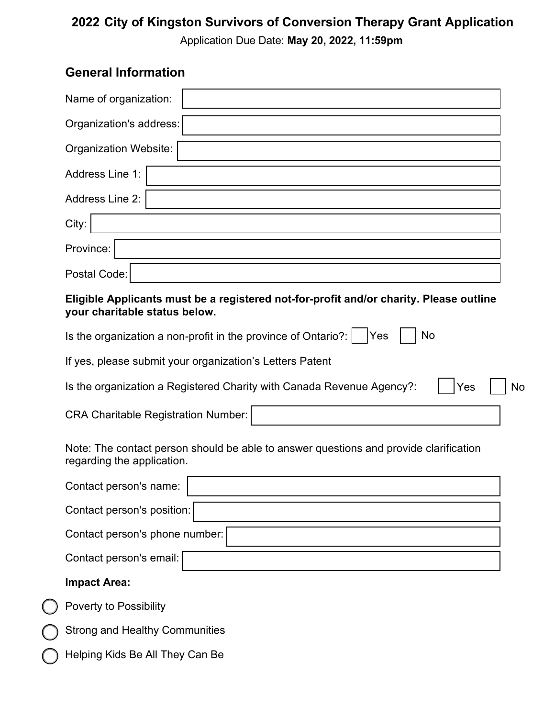# **2022 City of Kingston Survivors of Conversion Therapy Grant Application**

Application Due Date: **May 20, 2022, 11:59pm**

# **General Information**

| Name of organization:        |  |  |  |  |  |
|------------------------------|--|--|--|--|--|
| Organization's address:      |  |  |  |  |  |
| <b>Organization Website:</b> |  |  |  |  |  |
| Address Line 1:              |  |  |  |  |  |
| Address Line 2:              |  |  |  |  |  |
| City:                        |  |  |  |  |  |
| Province:                    |  |  |  |  |  |
| Postal Code:                 |  |  |  |  |  |
|                              |  |  |  |  |  |

#### **Eligible Applicants must be a registered not-for-profit and/or charity. Please outline your charitable status below.**

| <b>No</b><br>Is the organization a non-profit in the province of Ontario?:<br>Yes                                   |    |
|---------------------------------------------------------------------------------------------------------------------|----|
| If yes, please submit your organization's Letters Patent                                                            |    |
| Is the organization a Registered Charity with Canada Revenue Agency?:<br>Yes                                        | No |
| <b>CRA Charitable Registration Number:</b>                                                                          |    |
| Note: The contact person should be able to answer questions and provide clarification<br>regarding the application. |    |
| Contact person's name:                                                                                              |    |
| Contact person's position:                                                                                          |    |
| Contact person's phone number:                                                                                      |    |
| Contact person's email:                                                                                             |    |
| <b>Impact Area:</b>                                                                                                 |    |
| <b>Poverty to Possibility</b>                                                                                       |    |
| <b>Strong and Healthy Communities</b>                                                                               |    |
| Helping Kids Be All They Can Be                                                                                     |    |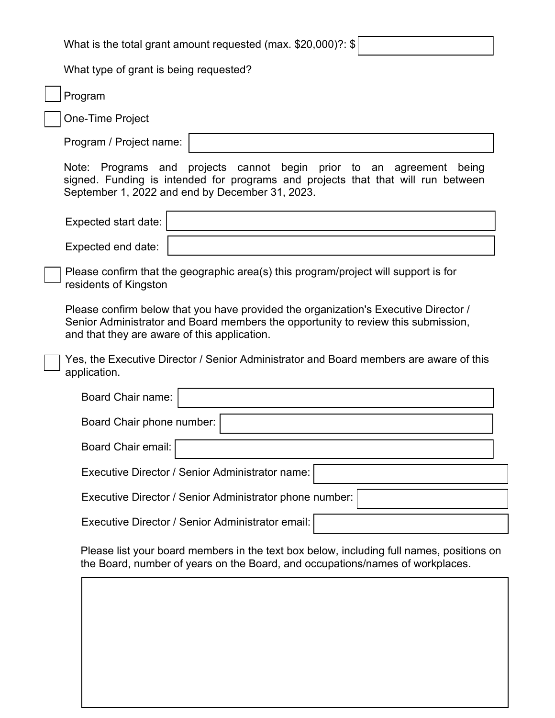What is the total grant amount requested (max. \$20,000)?: \$ What type of grant is being requested? Program One-Time Project Program / Project name: Note: Programs and projects cannot begin prior to an agreement being signed. Funding is intended for programs and projects that that will run between September 1, 2022 and end by December 31, 2023. Expected start date: Expected end date: Please confirm that the geographic area(s) this program/project will support is for residents of Kingston Please confirm below that you have provided the organization's Executive Director / Senior Administrator and Board members the opportunity to review this submission, and that they are aware of this application. Yes, the Executive Director / Senior Administrator and Board members are aware of this application. Board Chair name: Board Chair phone number: Board Chair email: Executive Director / Senior Administrator name: Executive Director / Senior Administrator phone number: Executive Director / Senior Administrator email: Please list your board members in the text box below, including full names, positions on the Board, number of years on the Board, and occupations/names of workplaces.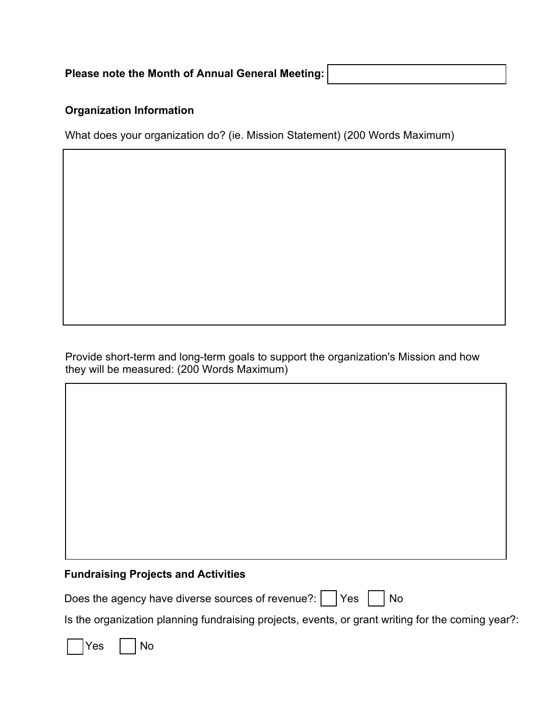| Please note the Month of Annual General Meeting: |
|--------------------------------------------------|
|                                                  |

#### **Organization Information**

What does your organization do? (ie. Mission Statement) (200 Words Maximum)

Provide short-term and long-term goals to support the organization's Mission and how they will be measured: (200 Words Maximum)

#### **Fundraising Projects and Activities**

| Does the agency have diverse sources of revenue?: $\vert$ $\vert$ Yes $\vert$ $\vert$ No |  |  |  |  |
|------------------------------------------------------------------------------------------|--|--|--|--|
|------------------------------------------------------------------------------------------|--|--|--|--|

Is the organization planning fundraising projects, events, or grant writing for the coming year?:

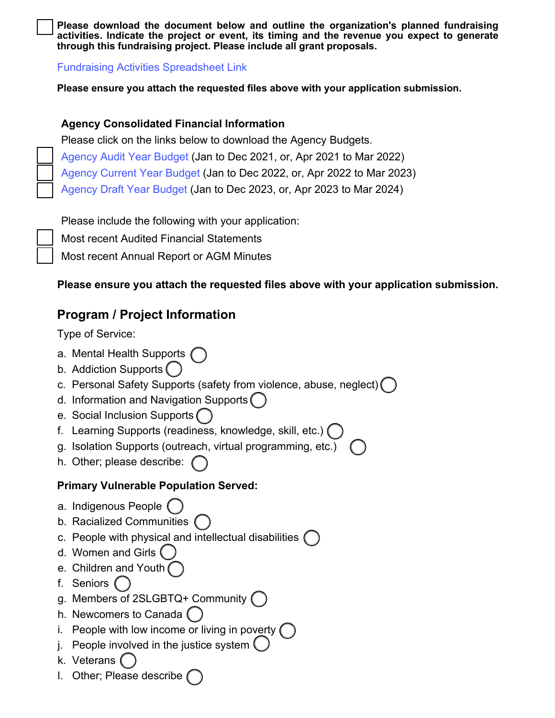**Please download the document below and outline the organization's planned fundraising activities. Indicate the project or event, its timing and the revenue you expect to generate through this fundraising project. Please include all grant proposals.** 

[Fundraising Activities Spreadsheet](https://www.unitedwaykfla.ca/wp-content/uploads/2022/05/Fundraising-Activities-Spreadsheet.xlsx) Link

**Please ensure you attach the requested files above with your application submission.**

#### **Agency Consolidated Financial Information**

Please click on the links below to download the Agency Budgets. [Agency Audit Year Budget](https://www.unitedwaykfla.ca/wp-content/uploads/2022/05/Agency-Budget-Audit-Year-Financials.xls) (Jan to Dec 2021, or, Apr 2021 to Mar 2022) [Agency Current](https://www.unitedwaykfla.ca/wp-content/uploads/2022/05/Agency-Budget-Current-Year-Financials.xls) Year Budget (Jan to Dec 2022, or, Apr 2022 to Mar 2023) [Agency Draft](https://www.unitedwaykfla.ca/wp-content/uploads/2022/05/Agency-Budget-Draft-Year-Financials-1.xls) Year Budget (Jan to Dec 2023, or, Apr 2023 to Mar 2024)

Please include the following with your application:

Most recent Audited Financial Statements

Most recent Annual Report or AGM Minutes

#### **Please ensure you attach the requested files above with your application submission.**

# **Program / Project Information**

Type of Service:

- a. Mental Health Supports
- b. Addiction Supports
- c. Personal Safety Supports (safety from violence, abuse, neglect)
- d. Information and Navigation Supports
- e. Social Inclusion Supports
- f. Learning Supports (readiness, knowledge, skill, etc.)
- g. Isolation Supports (outreach, virtual programming, etc.)
- h. Other; please describe:

#### **Primary Vulnerable Population Served:**

- a. Indigenous People
- b. Racialized Communities
- c. People with physical and intellectual disabilities
- d. Women and Girls
- e. Children and Youth
- f. Seniors
- g. Members of 2SLGBTQ+ Community
- h. Newcomers to Canada
- i. People with low income or living in poverty  $($
- j. People involved in the justice system  $($
- k. Veterans
- l. Other; Please describe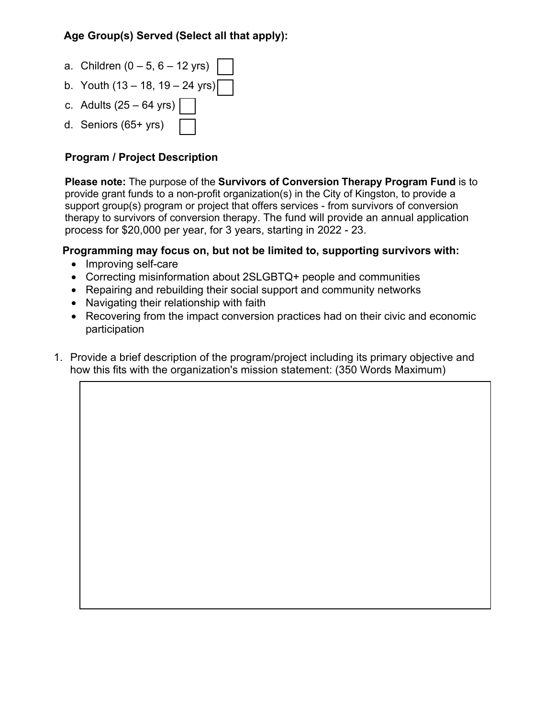#### **Age Group(s) Served (Select all that apply):**

- a. Children  $(0 5, 6 12 \text{ yrs})$
- b. Youth (13 18, 19 24 yrs)
- c. Adults  $(25 64 \text{ yrs})$
- d. Seniors (65+ yrs)

#### **Program / Project Description**

**Please note:** The purpose of the **Survivors of Conversion Therapy Program Fund** is to provide grant funds to a non-profit organization(s) in the City of Kingston, to provide a support group(s) program or project that offers services - from survivors of conversion therapy to survivors of conversion therapy. The fund will provide an annual application process for \$20,000 per year, for 3 years, starting in 2022 - 23.

#### **Programming may focus on, but not be limited to, supporting survivors with:**

- Improving self-care
- Correcting misinformation about 2SLGBTQ+ people and communities
- Repairing and rebuilding their social support and community networks
- Navigating their relationship with faith
- Recovering from the impact conversion practices had on their civic and economic participation
- 1. Provide a brief description of the program/project including its primary objective and how this fits with the organization's mission statement: (350 Words Maximum)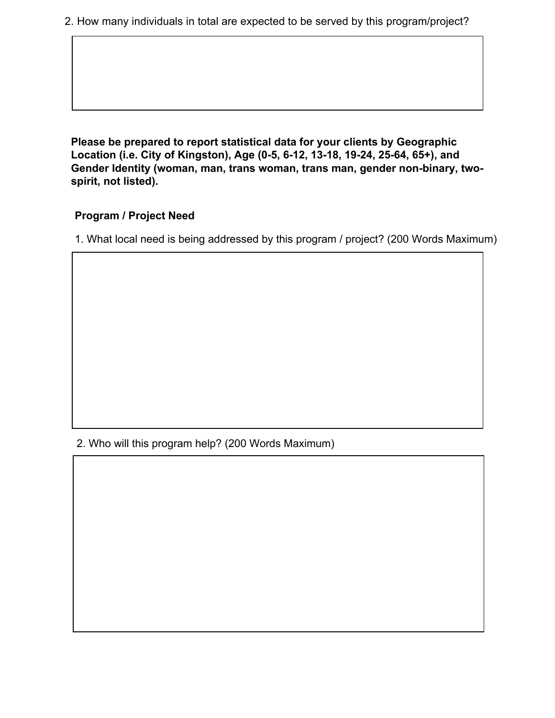2. How many individuals in total are expected to be served by this program/project?

**Please be prepared to report statistical data for your clients by Geographic Location (i.e. City of Kingston), Age (0-5, 6-12, 13-18, 19-24, 25-64, 65+), and Gender Identity (woman, man, trans woman, trans man, gender non-binary, twospirit, not listed).** 

#### **Program / Project Need**

1. What local need is being addressed by this program / project? (200 Words Maximum)

2. Who will this program help? (200 Words Maximum)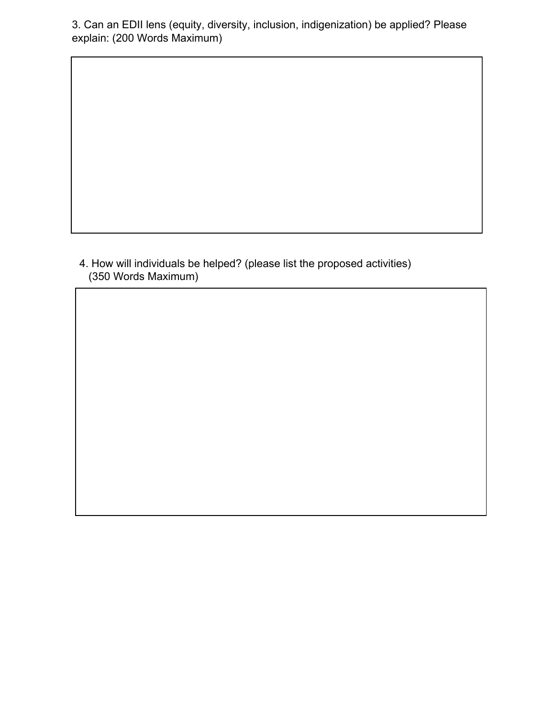3. Can an EDII lens (equity, diversity, inclusion, indigenization) be applied? Please explain: (200 Words Maximum)

4. How will individuals be helped? (please list the proposed activities) (350 Words Maximum)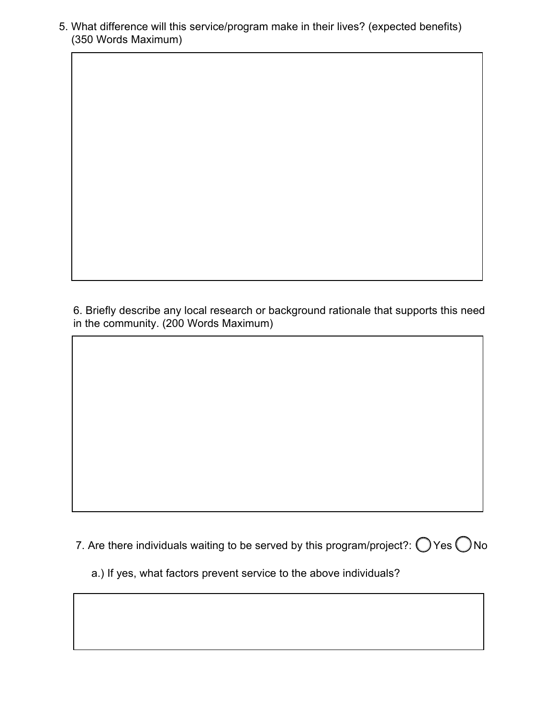5. What difference will this service/program make in their lives? (expected benefits) (350 Words Maximum)

6. Briefly describe any local research or background rationale that supports this need in the community. (200 Words Maximum)

7. Are there individuals waiting to be served by this program/project?:  $\bigcirc$  Yes  $\bigcirc$  No

a.) If yes, what factors prevent service to the above individuals?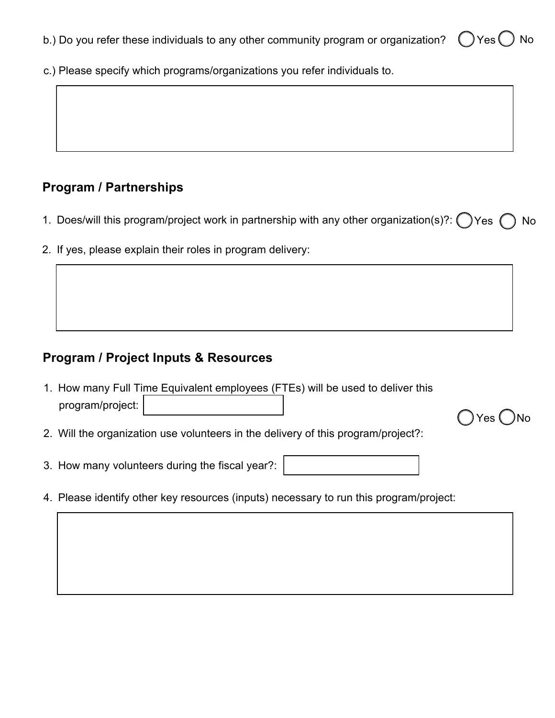- b.) Do you refer these individuals to any other community program or organization?  $\bigcirc$  Yes  $\bigcirc$  No
- c.) Please specify which programs/organizations you refer individuals to.

# **Program / Partnerships**

1. Does/will this program/project work in partnership with any other organization(s)?:  $\bigcap$  Yes  $\bigcap$  No

)Yes ( )No

2. If yes, please explain their roles in program delivery:

## **Program / Project Inputs & Resources**

- 1. How many Full Time Equivalent employees (FTEs) will be used to deliver this program/project:
- 2. Will the organization use volunteers in the delivery of this program/project?:
- 3. How many volunteers during the fiscal year?:
- 4. Please identify other key resources (inputs) necessary to run this program/project: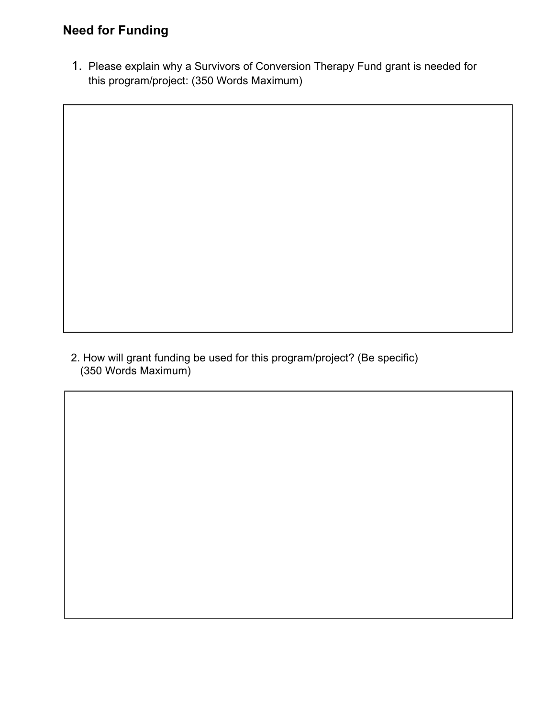# **Need for Funding**

1. Please explain why a Survivors of Conversion Therapy Fund grant is needed for this program/project: (350 Words Maximum)

2. How will grant funding be used for this program/project? (Be specific) (350 Words Maximum)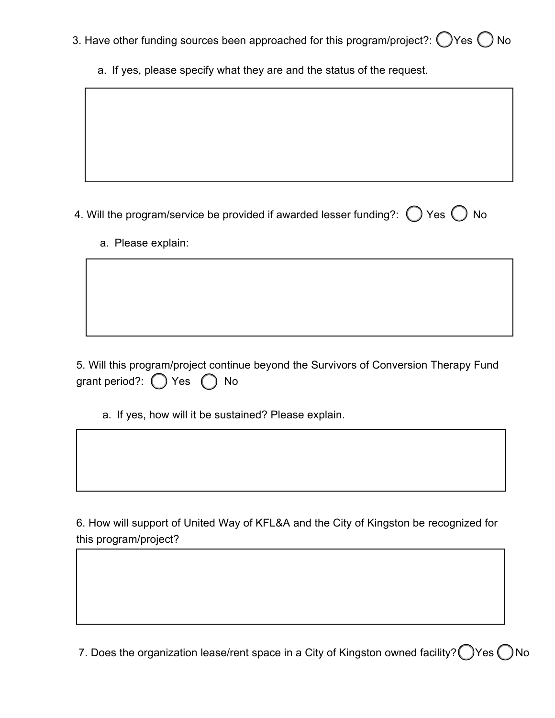- 3. Have other funding sources been approached for this program/project?:  $\bigcirc$  Yes  $\bigcirc$  No
	- a. If yes, please specify what they are and the status of the request.

4. Will the program/service be provided if awarded lesser funding?:  $\bigcirc$  Yes  $\bigcirc$  No

a. Please explain:

5. Will this program/project continue beyond the Survivors of Conversion Therapy Fund grant period?:  $\bigcap$  Yes  $\bigcap$  No

a. If yes, how will it be sustained? Please explain.

6. How will support of United Way of KFL&A and the City of Kingston be recognized for this program/project?

7. Does the organization lease/rent space in a City of Kingston owned facility?  $\bigcap$  Yes  $\bigcap$  No